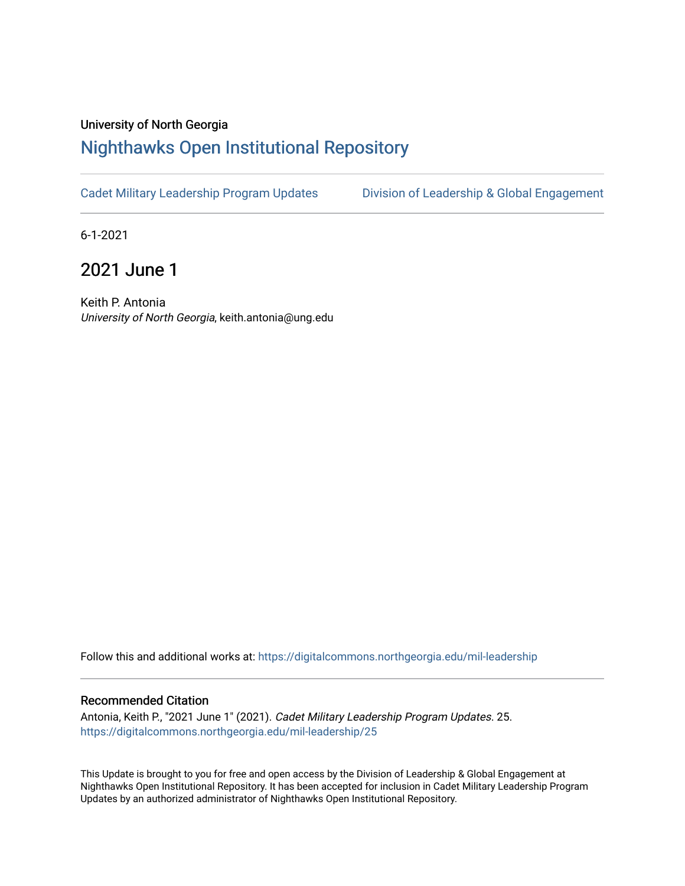## University of North Georgia

## [Nighthawks Open Institutional Repository](https://digitalcommons.northgeorgia.edu/)

[Cadet Military Leadership Program Updates](https://digitalcommons.northgeorgia.edu/mil-leadership) [Division of Leadership & Global Engagement](https://digitalcommons.northgeorgia.edu/leadership) 

6-1-2021

2021 June 1

Keith P. Antonia University of North Georgia, keith.antonia@ung.edu

Follow this and additional works at: [https://digitalcommons.northgeorgia.edu/mil-leadership](https://digitalcommons.northgeorgia.edu/mil-leadership?utm_source=digitalcommons.northgeorgia.edu%2Fmil-leadership%2F25&utm_medium=PDF&utm_campaign=PDFCoverPages) 

## Recommended Citation

Antonia, Keith P., "2021 June 1" (2021). Cadet Military Leadership Program Updates. 25. [https://digitalcommons.northgeorgia.edu/mil-leadership/25](https://digitalcommons.northgeorgia.edu/mil-leadership/25?utm_source=digitalcommons.northgeorgia.edu%2Fmil-leadership%2F25&utm_medium=PDF&utm_campaign=PDFCoverPages)

This Update is brought to you for free and open access by the Division of Leadership & Global Engagement at Nighthawks Open Institutional Repository. It has been accepted for inclusion in Cadet Military Leadership Program Updates by an authorized administrator of Nighthawks Open Institutional Repository.